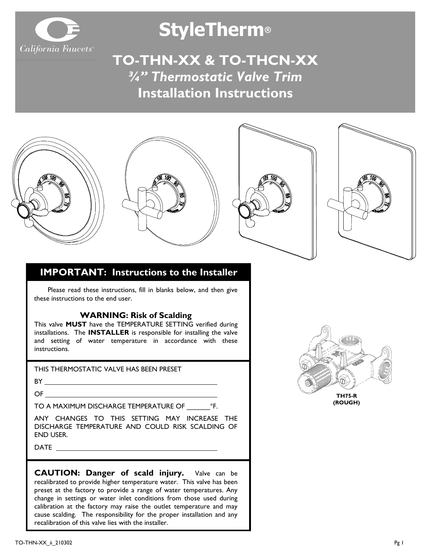

# **StyleTherm®**

**TO-THN-XX & TO-THCN-XX** *¾" Thermostatic Valve Trim* **Installation Instructions**

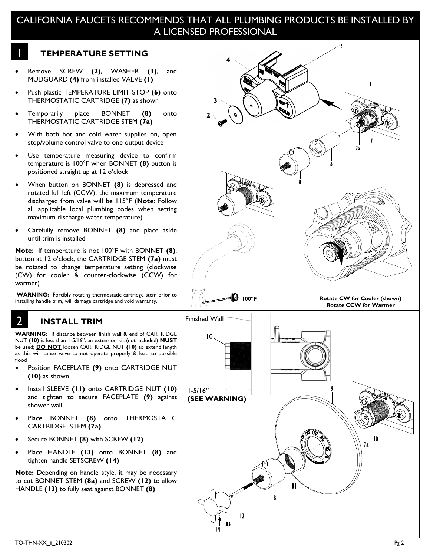## CALIFORNIA FAUCETS RECOMMENDS THAT ALL PLUMBING PRODUCTS BE INSTALLED BY A LICENSED PROFESSIONAL

#### **TEMPERATURE SETTING**

1

- Remove SCREW **(2)**, WASHER **(3)**, and MUDGUARD **(4)** from installed VALVE **(1)**
- Push plastic TEMPERATURE LIMIT STOP **(6)** onto THERMOSTATIC CARTRIDGE **(7)** as shown
- Temporarily place BONNET **(8)** onto THERMOSTATIC CARTRIDGE STEM **(7a)**
- With both hot and cold water supplies on, open stop/volume control valve to one output device
- Use temperature measuring device to confirm temperature is 100°F when BONNET **(8)** button is positioned straight up at 12 o'clock
- When button on BONNET **(8)** is depressed and rotated full left (CCW), the maximum temperature discharged from valve will be 115°F (**Note**: Follow all applicable local plumbing codes when setting maximum discharge water temperature)
- Carefully remove BONNET **(8)** and place aside until trim is installed

**Note**: If temperature is not 100°F with BONNET **(8)**, button at 12 o'clock, the CARTRIDGE STEM **(7a)** must be rotated to change temperature setting (clockwise (CW) for cooler & counter-clockwise (CCW) for warmer)

**WARNING:** Forcibly rotating thermostatic cartridge stem prior to installing handle trim, will damage cartridge and void warranty.

## **INSTALL TRIM**

2

**WARNING**: If distance between finish wall & end of CARTRIDGE NUT **(10)** is less than 1-5/16", an extension kit (not included) **MUST** be used; **DO NOT** loosen CARTRIDGE NUT **(10)** to extend length as this will cause valve to not operate properly & lead to possible flood

- Position FACEPLATE **(9)** onto CARTRIDGE NUT **(10)** as shown
- Install SLEEVE **(11)** onto CARTRIDGE NUT **(10)** and tighten to secure FACEPLATE **(9)** against shower wall
- Place BONNET **(8)** onto THERMOSTATIC CARTRIDGE STEM **(7a)**
- Secure BONNET **(8)** with SCREW **(12)**
- Place HANDLE **(13)** onto BONNET **(8)** and tighten handle SETSCREW **(14)**

**Note:** Depending on handle style, it may be necessary to cut BONNET STEM **(8a)** and SCREW **(12)** to allow HANDLE **(13)** to fully seat against BONNET **(8)**